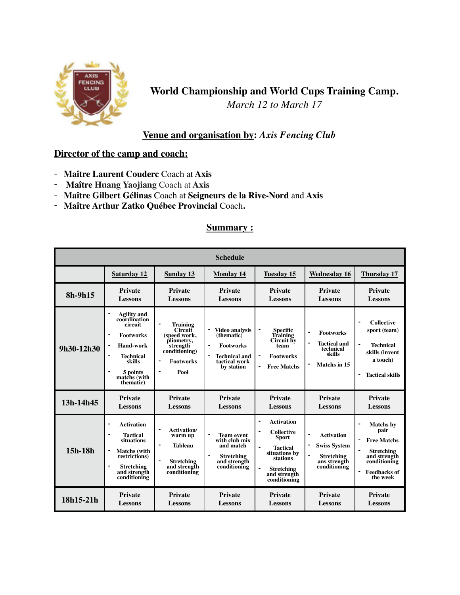

**World Championship and World Cups Training Camp.** *March 12 to March 17*

# **Venue and organisation by:** *Axis Fencing Club*

# **Director of the camp and coach:**

- **Maître Laurent Couderc** Coach at **Axis**
- - **Maître Huang Yaojiang** Coach at **Axis**
- **Maître Gilbert Gélinas** Coach at **Seigneurs de la Rive-Nord** and **Axis**
- **Maître Arthur Zatko Québec Provincial** Coach**.**

### **Summary :**

| <b>Schedule</b> |                                                                                                                                                                   |                                                                                                                                                                         |                                                                                                                                  |                                                                                                                                                                               |                                                                                                                                   |                                                                                                                                                                            |  |  |
|-----------------|-------------------------------------------------------------------------------------------------------------------------------------------------------------------|-------------------------------------------------------------------------------------------------------------------------------------------------------------------------|----------------------------------------------------------------------------------------------------------------------------------|-------------------------------------------------------------------------------------------------------------------------------------------------------------------------------|-----------------------------------------------------------------------------------------------------------------------------------|----------------------------------------------------------------------------------------------------------------------------------------------------------------------------|--|--|
|                 | <b>Saturday 12</b>                                                                                                                                                | <b>Sunday 13</b>                                                                                                                                                        | <b>Monday 14</b>                                                                                                                 | <b>Tuesday 15</b>                                                                                                                                                             | <b>Wednesday 16</b>                                                                                                               | <b>Thursday 17</b>                                                                                                                                                         |  |  |
| $8h-9h15$       | <b>Private</b><br>Lessons                                                                                                                                         | <b>Private</b><br><b>Lessons</b>                                                                                                                                        | <b>Private</b><br><b>Lessons</b>                                                                                                 | <b>Private</b><br><b>Lessons</b>                                                                                                                                              | <b>Private</b><br><b>Lessons</b>                                                                                                  | <b>Private</b><br><b>Lessons</b>                                                                                                                                           |  |  |
| 9h30-12h30      | <b>Agility</b> and<br>coordination<br>circuit<br><b>Footworks</b><br>٠<br><b>Hand-work</b><br><b>Technical</b><br>skills<br>5 points<br>matchs (with<br>thematic) | $\blacksquare$<br><b>Training</b><br>Circuit<br>(speed work,<br>pliometry,<br>strength<br>conditioning)<br>$\blacksquare$<br><b>Footworks</b><br>Pool<br>$\blacksquare$ | <b>Video analysis</b><br>(thematic)<br>$\blacksquare$<br><b>Footworks</b><br><b>Technical and</b><br>tactical work<br>by station | <b>Specific</b><br>Training<br>Circuit by<br>team<br><b>Footworks</b><br>$\blacksquare$<br><b>Free Matchs</b><br>$\blacksquare$                                               | <b>Footworks</b><br>$\blacksquare$<br><b>Tactical and</b><br>technical<br>skills<br>Matchs in 15                                  | <b>Collective</b><br>sport (team)<br>$\blacksquare$<br><b>Technical</b><br>skills (invent<br>a touch)<br><b>Tactical skills</b>                                            |  |  |
| 13h-14h45       | <b>Private</b><br>Lessons                                                                                                                                         | <b>Private</b><br><b>Lessons</b>                                                                                                                                        | Private<br><b>Lessons</b>                                                                                                        | Private<br><b>Lessons</b>                                                                                                                                                     | <b>Private</b><br><b>Lessons</b>                                                                                                  | <b>Private</b><br><b>Lessons</b>                                                                                                                                           |  |  |
| 15h-18h         | <b>Activation</b><br><b>Tactical</b><br>situations<br>$\blacksquare$<br><b>Matchs</b> (with<br>restrictions)<br><b>Stretching</b><br>and strength<br>conditioning | <b>Activation</b> /<br>$\blacksquare$<br>warm up<br>$\blacksquare$<br><b>Tableau</b><br>$\overline{\phantom{a}}$<br><b>Stretching</b><br>and strength<br>conditioning   | <b>Team event</b><br>with club mix<br>and match<br><b>Stretching</b><br>and strength<br>conditioning                             | <b>Activation</b><br><b>Collective</b><br><b>Sport</b><br>$\blacksquare$<br><b>Tactical</b><br>situations by<br>stations<br><b>Stretching</b><br>and strength<br>conditioning | $\overline{a}$<br><b>Activation</b><br><b>Swiss System</b><br>$\blacksquare$<br><b>Stretching</b><br>ans strength<br>conditioning | <b>Matchs</b> by<br>pair<br>$\blacksquare$<br><b>Free Matchs</b><br><b>Stretching</b><br>and strength<br>conditioning<br>$\blacksquare$<br><b>Feedbacks of</b><br>the week |  |  |
| 18h15-21h       | <b>Private</b><br><b>Lessons</b>                                                                                                                                  | <b>Private</b><br><b>Lessons</b>                                                                                                                                        | Private<br><b>Lessons</b>                                                                                                        | <b>Private</b><br><b>Lessons</b>                                                                                                                                              | <b>Private</b><br><b>Lessons</b>                                                                                                  | <b>Private</b><br><b>Lessons</b>                                                                                                                                           |  |  |